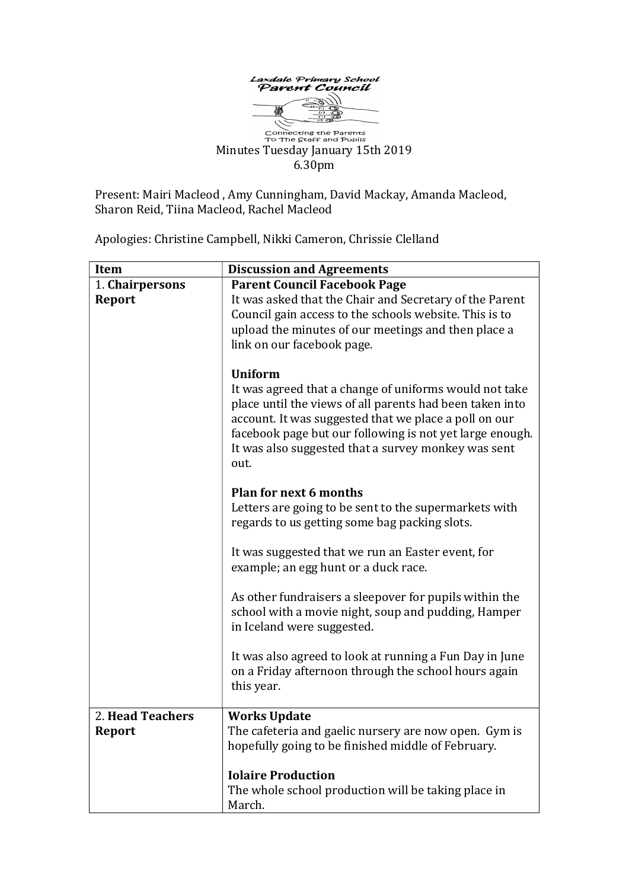

Connecting the Parents<br>To The Staff and Pupils Minutes Tuesday January 15th 2019 6.30pm

Present: Mairi Macleod , Amy Cunningham, David Mackay, Amanda Macleod, Sharon Reid, Tiina Macleod, Rachel Macleod

Apologies: Christine Campbell, Nikki Cameron, Chrissie Clelland

| <b>Item</b>      | <b>Discussion and Agreements</b>                                                                                                                                                                                                                                                                                         |
|------------------|--------------------------------------------------------------------------------------------------------------------------------------------------------------------------------------------------------------------------------------------------------------------------------------------------------------------------|
| 1. Chairpersons  | <b>Parent Council Facebook Page</b>                                                                                                                                                                                                                                                                                      |
| <b>Report</b>    | It was asked that the Chair and Secretary of the Parent<br>Council gain access to the schools website. This is to<br>upload the minutes of our meetings and then place a<br>link on our facebook page.                                                                                                                   |
|                  | <b>Uniform</b><br>It was agreed that a change of uniforms would not take<br>place until the views of all parents had been taken into<br>account. It was suggested that we place a poll on our<br>facebook page but our following is not yet large enough.<br>It was also suggested that a survey monkey was sent<br>out. |
|                  | <b>Plan for next 6 months</b><br>Letters are going to be sent to the supermarkets with<br>regards to us getting some bag packing slots.                                                                                                                                                                                  |
|                  | It was suggested that we run an Easter event, for<br>example; an egg hunt or a duck race.                                                                                                                                                                                                                                |
|                  | As other fundraisers a sleepover for pupils within the<br>school with a movie night, soup and pudding, Hamper<br>in Iceland were suggested.                                                                                                                                                                              |
|                  | It was also agreed to look at running a Fun Day in June<br>on a Friday afternoon through the school hours again<br>this year.                                                                                                                                                                                            |
| 2. Head Teachers | <b>Works Update</b>                                                                                                                                                                                                                                                                                                      |
| <b>Report</b>    | The cafeteria and gaelic nursery are now open. Gym is<br>hopefully going to be finished middle of February.                                                                                                                                                                                                              |
|                  | <b>Iolaire Production</b>                                                                                                                                                                                                                                                                                                |
|                  | The whole school production will be taking place in<br>March.                                                                                                                                                                                                                                                            |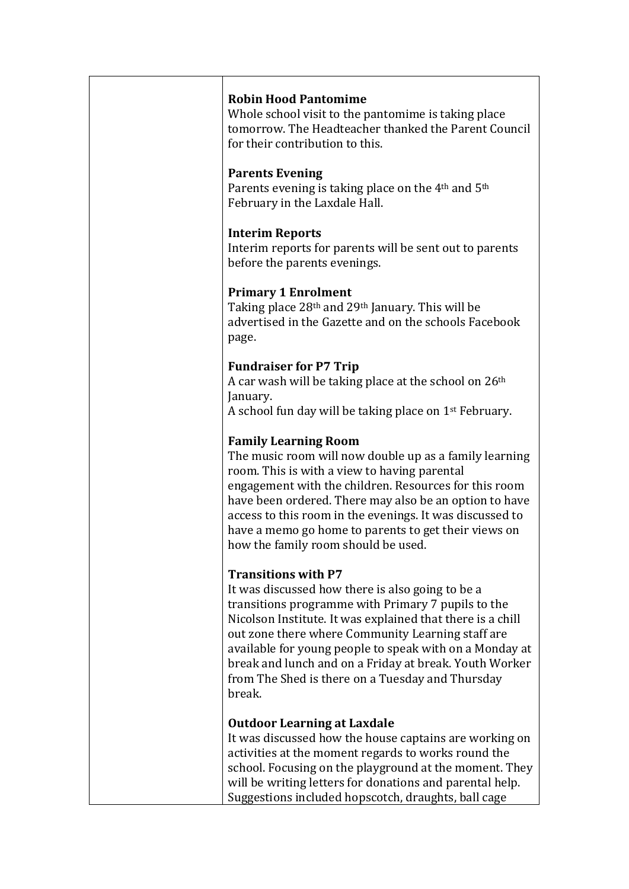#### Robin Hood Pantomime

Whole school visit to the pantomime is taking place tomorrow. The Headteacher thanked the Parent Council for their contribution to this.

#### Parents Evening

Parents evening is taking place on the 4<sup>th</sup> and 5<sup>th</sup> February in the Laxdale Hall.

#### Interim Reports

Interim reports for parents will be sent out to parents before the parents evenings.

## Primary 1 Enrolment

Taking place 28<sup>th</sup> and 29<sup>th</sup> January. This will be advertised in the Gazette and on the schools Facebook page.

## Fundraiser for P7 Trip

A car wash will be taking place at the school on 26th January.

A school fun day will be taking place on 1st February.

# Family Learning Room

The music room will now double up as a family learning room. This is with a view to having parental engagement with the children. Resources for this room have been ordered. There may also be an option to have access to this room in the evenings. It was discussed to have a memo go home to parents to get their views on how the family room should be used.

## Transitions with P7

It was discussed how there is also going to be a transitions programme with Primary 7 pupils to the Nicolson Institute. It was explained that there is a chill out zone there where Community Learning staff are available for young people to speak with on a Monday at break and lunch and on a Friday at break. Youth Worker from The Shed is there on a Tuesday and Thursday break.

## Outdoor Learning at Laxdale

It was discussed how the house captains are working on activities at the moment regards to works round the school. Focusing on the playground at the moment. They will be writing letters for donations and parental help. Suggestions included hopscotch, draughts, ball cage